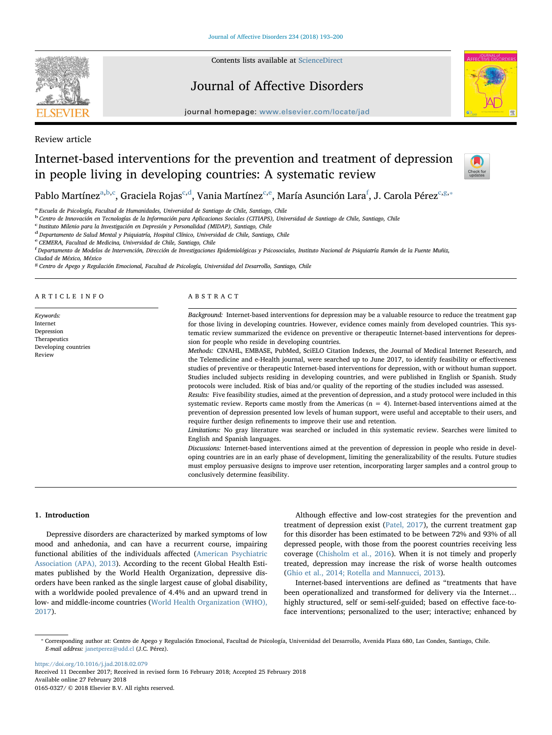

Contents lists available at [ScienceDirect](http://www.sciencedirect.com/science/journal/01650327)

## Journal of Affective Disorders



journal homepage: [www.elsevier.com/locate/jad](https://www.elsevier.com/locate/jad)

Review article

# Internet-based interventions for the prevention and treatment of depression in people living in developing countries: A systematic review



P[a](#page-0-0)blo Martínez<sup>a[,b,](#page-0-1)[c](#page-0-2)</sup>, Graciela Rojas<sup>c,[d](#page-0-3)</sup>, Vania Martín[e](#page-0-4)z<sup>c,e</sup>, María Asunción Lara<sup>[f](#page-0-5)</sup>, J. Carola Pérez<sup>c,[g,](#page-0-6)</sup>\*

<span id="page-0-0"></span>a Escuela de Psicología, Facultad de Humanidades, Universidad de Santiago de Chile, Santiago, Chile

<span id="page-0-1"></span><sup>b</sup> Centro de Innovación en Tecnologías de la Información para Aplicaciones Sociales (CITIAPS), Universidad de Santiago de Chile, Santiago, Chile

<span id="page-0-2"></span>c Instituto Milenio para la Investigación en Depresión y Personalidad (MIDAP), Santiago, Chile

<span id="page-0-3"></span> $d$  Departamento de Salud Mental y Psiquiatría, Hospital Clínico, Universidad de Chile, Santiago, Chile

<span id="page-0-4"></span><sup>e</sup> CEMERA, Facultad de Medicina, Universidad de Chile, Santiago, Chile

<span id="page-0-5"></span><u>.</u><br><sup>6</sup> Departamento de Modelos de Intervención, Dirección de Investigaciones Epidemiológicas y Psicosociales, Instituto Nacional de Psiquiatría Ramón de la Fuente Muñiz,

Ciudad de México, México

<span id="page-0-6"></span><sup>8</sup> Centro de Apego y Regulación Emocional, Facultad de Psicología, Universidad del Desarrollo, Santiago, Chile

ARTICLE INFO

Keywords: Internet Depression Therapeutics Developing countries Review

#### ABSTRACT

Background: Internet-based interventions for depression may be a valuable resource to reduce the treatment gap for those living in developing countries. However, evidence comes mainly from developed countries. This systematic review summarized the evidence on preventive or therapeutic Internet-based interventions for depression for people who reside in developing countries.

Methods: CINAHL, EMBASE, PubMed, SciELO Citation Indexes, the Journal of Medical Internet Research, and the Telemedicine and e-Health journal, were searched up to June 2017, to identify feasibility or effectiveness studies of preventive or therapeutic Internet-based interventions for depression, with or without human support. Studies included subjects residing in developing countries, and were published in English or Spanish. Study protocols were included. Risk of bias and/or quality of the reporting of the studies included was assessed.

Results: Five feasibility studies, aimed at the prevention of depression, and a study protocol were included in this systematic review. Reports came mostly from the Americas  $(n = 4)$ . Internet-based interventions aimed at the prevention of depression presented low levels of human support, were useful and acceptable to their users, and require further design refinements to improve their use and retention.

Limitations: No gray literature was searched or included in this systematic review. Searches were limited to English and Spanish languages.

Discussions: Internet-based interventions aimed at the prevention of depression in people who reside in developing countries are in an early phase of development, limiting the generalizability of the results. Future studies must employ persuasive designs to improve user retention, incorporating larger samples and a control group to conclusively determine feasibility.

## 1. Introduction

Depressive disorders are characterized by marked symptoms of low mood and anhedonia, and can have a recurrent course, impairing functional abilities of the individuals affected [\(American Psychiatric](#page-6-0) [Association \(APA\), 2013](#page-6-0)). According to the recent Global Health Estimates published by the World Health Organization, depressive disorders have been ranked as the single largest cause of global disability, with a worldwide pooled prevalence of 4.4% and an upward trend in low- and middle-income countries [\(World Health Organization \(WHO\),](#page-7-0) [2017\)](#page-7-0).

Although effective and low-cost strategies for the prevention and treatment of depression exist [\(Patel, 2017\)](#page-7-1), the current treatment gap for this disorder has been estimated to be between 72% and 93% of all depressed people, with those from the poorest countries receiving less coverage [\(Chisholm et al., 2016](#page-6-1)). When it is not timely and properly treated, depression may increase the risk of worse health outcomes ([Ghio et al., 2014; Rotella and Mannucci, 2013](#page-7-2)).

Internet-based interventions are defined as "treatments that have been operationalized and transformed for delivery via the Internet… highly structured, self or semi-self-guided; based on effective face-toface interventions; personalized to the user; interactive; enhanced by

<span id="page-0-7"></span>⁎ Corresponding author at: Centro de Apego y Regulación Emocional, Facultad de Psicología, Universidad del Desarrollo, Avenida Plaza 680, Las Condes, Santiago, Chile. E-mail address: [janetperez@udd.cl](mailto:janetperez@udd.cl) (J.C. Pérez).

<https://doi.org/10.1016/j.jad.2018.02.079> Received 11 December 2017; Received in revised form 16 February 2018; Accepted 25 February 2018 Available online 27 February 2018 0165-0327/ © 2018 Elsevier B.V. All rights reserved.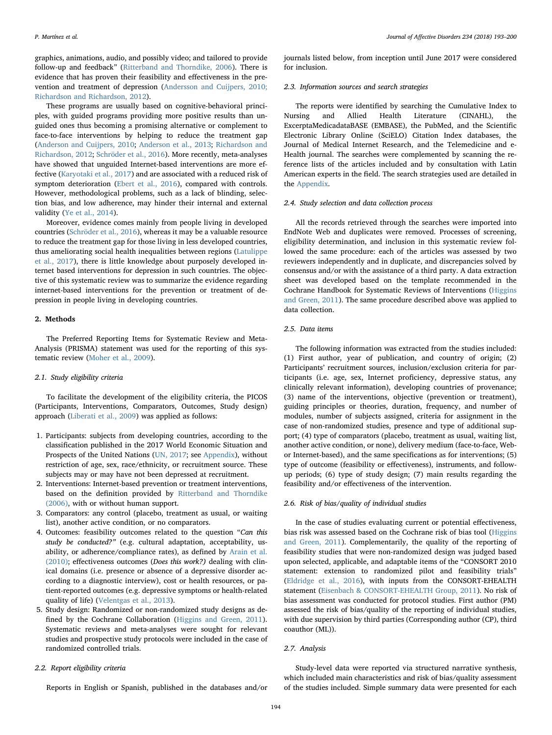graphics, animations, audio, and possibly video; and tailored to provide follow-up and feedback" ([Ritterband and Thorndike, 2006\)](#page-7-3). There is evidence that has proven their feasibility and effectiveness in the prevention and treatment of depression ([Andersson and Cuijpers, 2010;](#page-6-2) [Richardson and Richardson, 2012\)](#page-6-2).

These programs are usually based on cognitive-behavioral principles, with guided programs providing more positive results than unguided ones thus becoming a promising alternative or complement to face-to-face interventions by helping to reduce the treatment gap ([Anderson and Cuijpers, 2010](#page-6-2); [Anderson et al., 2013;](#page-6-3) [Richardson and](#page-7-4) [Richardson, 2012;](#page-7-4) [Schröder et al., 2016](#page-7-5)). More recently, meta-analyses have showed that unguided Internet-based interventions are more effective [\(Karyotaki et al., 2017\)](#page-7-6) and are associated with a reduced risk of symptom deterioration [\(Ebert et al., 2016](#page-6-4)), compared with controls. However, methodological problems, such as a lack of blinding, selection bias, and low adherence, may hinder their internal and external validity [\(Ye et al., 2014](#page-7-7)).

Moreover, evidence comes mainly from people living in developed countries [\(Schröder et al., 2016\)](#page-7-5), whereas it may be a valuable resource to reduce the treatment gap for those living in less developed countries, thus ameliorating social health inequalities between regions ([Latulippe](#page-7-8) [et al., 2017](#page-7-8)), there is little knowledge about purposely developed internet based interventions for depression in such countries. The objective of this systematic review was to summarize the evidence regarding internet-based interventions for the prevention or treatment of depression in people living in developing countries.

#### 2. Methods

The Preferred Reporting Items for Systematic Review and Meta-Analysis (PRISMA) statement was used for the reporting of this systematic review [\(Moher et al., 2009](#page-7-9)).

## 2.1. Study eligibility criteria

To facilitate the development of the eligibility criteria, the PICOS (Participants, Interventions, Comparators, Outcomes, Study design) approach [\(Liberati et al., 2009\)](#page-7-10) was applied as follows:

- 1. Participants: subjects from developing countries, according to the classification published in the 2017 World Economic Situation and Prospects of the United Nations [\(UN, 2017](#page-7-11); see Appendix), without restriction of age, sex, race/ethnicity, or recruitment source. These subjects may or may have not been depressed at recruitment.
- 2. Interventions: Internet-based prevention or treatment interventions, based on the definition provided by [Ritterband and Thorndike](#page-7-3) [\(2006\)](#page-7-3), with or without human support.
- 3. Comparators: any control (placebo, treatment as usual, or waiting list), another active condition, or no comparators.
- 4. Outcomes: feasibility outcomes related to the question "Can this study be conducted?" (e.g. cultural adaptation, acceptability, usability, or adherence/compliance rates), as defined by [Arain et al.](#page-6-5) [\(2010\)](#page-6-5); effectiveness outcomes (Does this work?) dealing with clinical domains (i.e. presence or absence of a depressive disorder according to a diagnostic interview), cost or health resources, or patient-reported outcomes (e.g. depressive symptoms or health-related quality of life) [\(Velentgas et al., 2013\)](#page-7-12).
- 5. Study design: Randomized or non-randomized study designs as defined by the Cochrane Collaboration ([Higgins and Green, 2011](#page-7-13)). Systematic reviews and meta-analyses were sought for relevant studies and prospective study protocols were included in the case of randomized controlled trials.

## 2.2. Report eligibility criteria

Reports in English or Spanish, published in the databases and/or

journals listed below, from inception until June 2017 were considered for inclusion.

## 2.3. Information sources and search strategies

The reports were identified by searching the Cumulative Index to Nursing and Allied Health Literature (CINAHL), the ExcerptaMedicadataBASE (EMBASE), the PubMed, and the Scientific Electronic Library Online (SciELO) Citation Index databases, the Journal of Medical Internet Research, and the Telemedicine and e-Health journal. The searches were complemented by scanning the reference lists of the articles included and by consultation with Latin American experts in the field. The search strategies used are detailed in the Appendix.

#### 2.4. Study selection and data collection process

All the records retrieved through the searches were imported into EndNote Web and duplicates were removed. Processes of screening, eligibility determination, and inclusion in this systematic review followed the same procedure: each of the articles was assessed by two reviewers independently and in duplicate, and discrepancies solved by consensus and/or with the assistance of a third party. A data extraction sheet was developed based on the template recommended in the Cochrane Handbook for Systematic Reviews of Interventions ([Higgins](#page-7-13) [and Green, 2011\)](#page-7-13). The same procedure described above was applied to data collection.

### 2.5. Data items

The following information was extracted from the studies included: (1) First author, year of publication, and country of origin; (2) Participants' recruitment sources, inclusion/exclusion criteria for participants (i.e. age, sex, Internet proficiency, depressive status, any clinically relevant information), developing countries of provenance; (3) name of the interventions, objective (prevention or treatment), guiding principles or theories, duration, frequency, and number of modules, number of subjects assigned, criteria for assignment in the case of non-randomized studies, presence and type of additional support; (4) type of comparators (placebo, treatment as usual, waiting list, another active condition, or none), delivery medium (face-to-face, Webor Internet-based), and the same specifications as for interventions; (5) type of outcome (feasibility or effectiveness), instruments, and followup periods; (6) type of study design; (7) main results regarding the feasibility and/or effectiveness of the intervention.

#### 2.6. Risk of bias/quality of individual studies

In the case of studies evaluating current or potential effectiveness, bias risk was assessed based on the Cochrane risk of bias tool ([Higgins](#page-7-13) [and Green, 2011\)](#page-7-13). Complementarily, the quality of the reporting of feasibility studies that were non-randomized design was judged based upon selected, applicable, and adaptable items of the "CONSORT 2010 statement: extension to randomized pilot and feasibility trials" ([Eldridge et al., 2016\)](#page-6-6), with inputs from the CONSORT-EHEALTH statement ([Eisenbach & CONSORT-EHEALTH Group, 2011\)](#page-7-14). No risk of bias assessment was conducted for protocol studies. First author (PM) assessed the risk of bias/quality of the reporting of individual studies, with due supervision by third parties (Corresponding author (CP), third coauthor (ML)).

#### 2.7. Analysis

Study-level data were reported via structured narrative synthesis, which included main characteristics and risk of bias/quality assessment of the studies included. Simple summary data were presented for each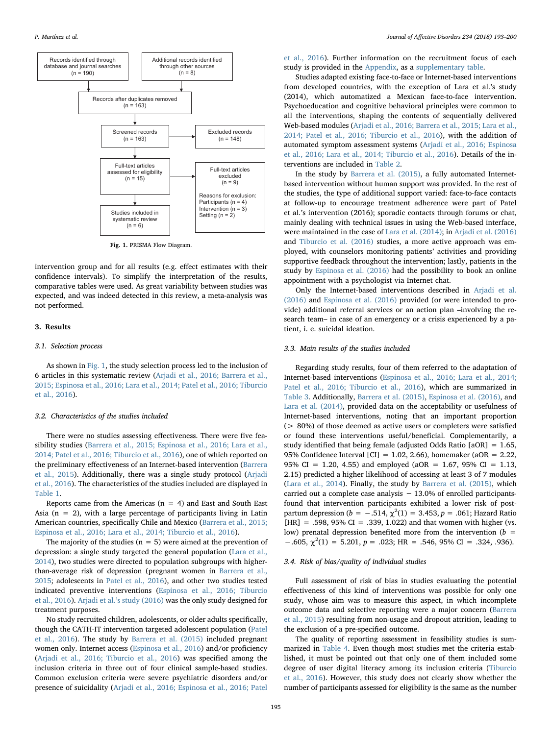<span id="page-2-0"></span>

Fig. 1. PRISMA Flow Diagram.

intervention group and for all results (e.g. effect estimates with their confidence intervals). To simplify the interpretation of the results, comparative tables were used. As great variability between studies was expected, and was indeed detected in this review, a meta-analysis was not performed.

#### 3. Results

#### 3.1. Selection process

As shown in [Fig. 1,](#page-2-0) the study selection process led to the inclusion of 6 articles in this systematic review [\(Arjadi et al., 2016; Barrera et al.,](#page-6-7) [2015; Espinosa et al., 2016; Lara et al., 2014; Patel et al., 2016; Tiburcio](#page-6-7) [et al., 2016](#page-6-7)).

#### 3.2. Characteristics of the studies included

There were no studies assessing effectiveness. There were five feasibility studies ([Barrera et al., 2015; Espinosa et al., 2016; Lara et al.,](#page-6-8) [2014; Patel et al., 2016; Tiburcio et al., 2016\)](#page-6-8), one of which reported on the preliminary effectiveness of an Internet-based intervention [\(Barrera](#page-6-8) [et al., 2015\)](#page-6-8). Additionally, there was a single study protocol ([Arjadi](#page-6-7) [et al., 2016](#page-6-7)). The characteristics of the studies included are displayed in [Table 1](#page-3-0).

Reports came from the Americas ( $n = 4$ ) and East and South East Asia ( $n = 2$ ), with a large percentage of participants living in Latin American countries, specifically Chile and Mexico [\(Barrera et al., 2015;](#page-6-8) [Espinosa et al., 2016; Lara et al., 2014; Tiburcio et al., 2016\)](#page-6-8).

The majority of the studies ( $n = 5$ ) were aimed at the prevention of depression: a single study targeted the general population [\(Lara et al.,](#page-7-15) [2014\)](#page-7-15), two studies were directed to population subgroups with higherthan-average risk of depression (pregnant women in [Barrera et al.,](#page-6-8) [2015;](#page-6-8) adolescents in [Patel et al., 2016](#page-7-16)), and other two studies tested indicated preventive interventions [\(Espinosa et al., 2016; Tiburcio](#page-6-9) [et al., 2016\)](#page-6-9). Arjadi et al.'[s study \(2016\)](#page-6-7) was the only study designed for treatment purposes.

No study recruited children, adolescents, or older adults specifically, though the CATH-IT intervention targeted adolescent population [\(Patel](#page-7-16) [et al., 2016\)](#page-7-16). The study by [Barrera et al. \(2015\)](#page-6-8) included pregnant women only. Internet access [\(Espinosa et al., 2016\)](#page-6-9) and/or proficiency ([Arjadi et al., 2016; Tiburcio et al., 2016](#page-6-7)) was specified among the inclusion criteria in three out of four clinical sample-based studies. Common exclusion criteria were severe psychiatric disorders and/or presence of suicidality ([Arjadi et al., 2016; Espinosa et al., 2016; Patel](#page-6-7)

[et al., 2016\)](#page-6-7). Further information on the recruitment focus of each study is provided in the Appendix, as a supplementary table.

Studies adapted existing face-to-face or Internet-based interventions from developed countries, with the exception of Lara et al.'s study (2014), which automatized a Mexican face-to-face intervention. Psychoeducation and cognitive behavioral principles were common to all the interventions, shaping the contents of sequentially delivered Web-based modules [\(Arjadi et al., 2016; Barrera et al., 2015; Lara et al.,](#page-6-7) [2014; Patel et al., 2016; Tiburcio et al., 2016](#page-6-7)), with the addition of automated symptom assessment systems [\(Arjadi et al., 2016; Espinosa](#page-6-7) [et al., 2016; Lara et al., 2014; Tiburcio et al., 2016\)](#page-6-7). Details of the interventions are included in [Table 2.](#page-4-0)

In the study by [Barrera et al. \(2015\),](#page-6-8) a fully automated Internetbased intervention without human support was provided. In the rest of the studies, the type of additional support varied: face-to-face contacts at follow-up to encourage treatment adherence were part of Patel et al.'s intervention (2016); sporadic contacts through forums or chat, mainly dealing with technical issues in using the Web-based interface, were maintained in the case of [Lara et al. \(2014\)](#page-7-15); in [Arjadi et al. \(2016\)](#page-6-7) and [Tiburcio et al. \(2016\)](#page-7-17) studies, a more active approach was employed, with counselors monitoring patients' activities and providing supportive feedback throughout the intervention; lastly, patients in the study by [Espinosa et al. \(2016\)](#page-6-9) had the possibility to book an online appointment with a psychologist via Internet chat.

Only the Internet-based interventions described in [Arjadi et al.](#page-6-7) [\(2016\)](#page-6-7) and [Espinosa et al. \(2016\)](#page-6-9) provided (or were intended to provide) additional referral services or an action plan –involving the research team– in case of an emergency or a crisis experienced by a patient, i. e. suicidal ideation.

#### 3.3. Main results of the studies included

Regarding study results, four of them referred to the adaptation of Internet-based interventions [\(Espinosa et al., 2016; Lara et al., 2014;](#page-6-9) [Patel et al., 2016; Tiburcio et al., 2016](#page-6-9)), which are summarized in [Table 3.](#page-5-0) Additionally, [Barrera et al. \(2015\)](#page-6-8), [Espinosa et al. \(2016\)](#page-6-9), and [Lara et al. \(2014\),](#page-7-15) provided data on the acceptability or usefulness of Internet-based interventions, noting that an important proportion (> 80%) of those deemed as active users or completers were satisfied or found these interventions useful/beneficial. Complementarily, a study identified that being female (adjusted Odds Ratio [aOR] = 1.65, 95% Confidence Interval  $\text{[CI]} = 1.02, 2.66$ ), homemaker (aOR = 2.22, 95% CI = 1.20, 4.55) and employed (aOR = 1.67, 95% CI = 1.13, 2.15) predicted a higher likelihood of accessing at least 3 of 7 modules ([Lara et al., 2014\)](#page-7-15). Finally, the study by [Barrera et al. \(2015\),](#page-6-8) which carried out a complete case analysis − 13.0% of enrolled participantsfound that intervention participants exhibited a lower risk of postpartum depression ( $b = -.514$ ,  $\chi^2(1) = 3.453$ ,  $p = .061$ ; Hazard Ratio  $[HR] = .598, 95\% CI = .339, 1.022$  and that women with higher (vs. low) prenatal depression benefited more from the intervention ( $b =$  $-0.605$ ,  $\chi^2(1) = 5.201$ ,  $p = 0.023$ ; HR =  $0.546$ ,  $95\%$  CI =  $0.324$ ,  $0.936$ .

## 3.4. Risk of bias/quality of individual studies

Full assessment of risk of bias in studies evaluating the potential effectiveness of this kind of interventions was possible for only one study, whose aim was to measure this aspect, in which incomplete outcome data and selective reporting were a major concern [\(Barrera](#page-6-8) [et al., 2015\)](#page-6-8) resulting from non-usage and dropout attrition, leading to the exclusion of a pre-specified outcome.

The quality of reporting assessment in feasibility studies is summarized in [Table 4.](#page-5-1) Even though most studies met the criteria established, it must be pointed out that only one of them included some degree of user digital literacy among its inclusion criteria ([Tiburcio](#page-7-17) [et al., 2016](#page-7-17)). However, this study does not clearly show whether the number of participants assessed for eligibility is the same as the number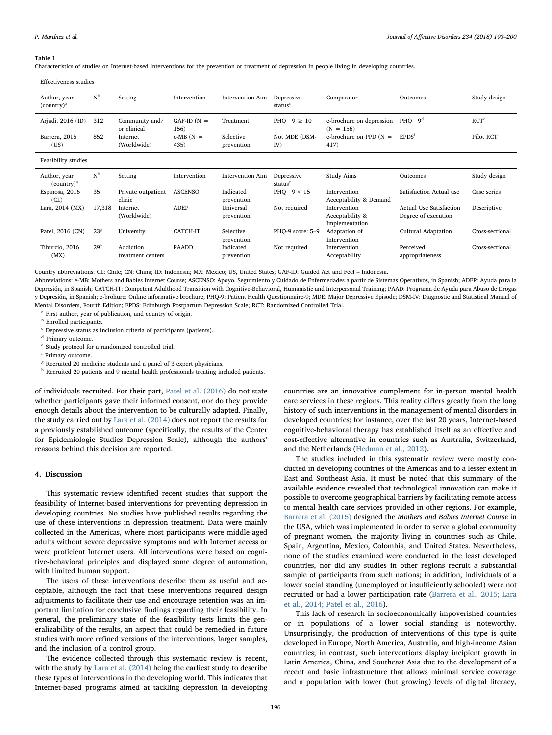#### <span id="page-3-0"></span>Table 1

Characteristics of studies on Internet-based interventions for the prevention or treatment of depression in people living in developing countries.

| Effectiveness studies                           |                 |                                |                        |                         |                                   |                                                   |                                                       |                  |
|-------------------------------------------------|-----------------|--------------------------------|------------------------|-------------------------|-----------------------------------|---------------------------------------------------|-------------------------------------------------------|------------------|
| Author, year<br>$\text{(country)}^a$            | N <sup>b</sup>  | Setting                        | Intervention           | <b>Intervention Aim</b> | Depressive<br>status <sup>c</sup> | Comparator                                        | Outcomes                                              | Study design     |
| Arjadi, 2016 (ID)                               | 312             | Community and/<br>or clinical  | $GAF-ID (N =$<br>156)  | Treatment               | $PHO-9 \geq 10$                   | e-brochure on depression<br>$(N = 156)$           | $PHO-9d$                                              | RCT <sup>e</sup> |
| Barrera, 2015<br>(US)                           | 852             | Internet<br>(Worldwide)        | $e$ -MB $(N =$<br>435) | Selective<br>prevention | Not MDE (DSM-<br>IV)              | e-brochure on PPD $(N =$<br>417)                  | EPDS <sup>t</sup>                                     | Pilot RCT        |
| Feasibility studies                             |                 |                                |                        |                         |                                   |                                                   |                                                       |                  |
| Author, year<br>$\left(\text{Country}\right)^a$ | N <sup>b</sup>  | Setting                        | Intervention           | <b>Intervention Aim</b> | Depressive<br>status <sup>c</sup> | Study Aims                                        | Outcomes                                              | Study design     |
| Espinosa, 2016<br>CL)                           | 35              | Private outpatient<br>clinic   | <b>ASCENSO</b>         | Indicated<br>prevention | $PHO-9 < 15$                      | Intervention<br>Acceptability & Demand            | Satisfaction Actual use                               | Case series      |
| Lara, 2014 (MX)                                 | 17,318          | Internet<br>(Worldwide)        | <b>ADEP</b>            | Universal<br>prevention | Not required                      | Intervention<br>Acceptability &<br>Implementation | <b>Actual Use Satisfaction</b><br>Degree of execution | Descriptive      |
| Patel, 2016 (CN)                                | 23 <sup>8</sup> | University                     | <b>CATCH-IT</b>        | Selective<br>prevention | PHO-9 score: 5-9                  | Adaptation of<br>Intervention                     | Cultural Adaptation                                   | Cross-sectional  |
| Tiburcio, 2016<br>(MX)                          | 29 <sup>h</sup> | Addiction<br>treatment centers | <b>PAADD</b>           | Indicated<br>prevention | Not required                      | Intervention<br>Acceptability                     | Perceived<br>appropriateness                          | Cross-sectional  |

Country abbreviations: CL: Chile; CN: China; ID: Indonesia; MX: Mexico; US, United States; GAF-ID: Guided Act and Feel – Indonesia.

Abbreviations: e-MB: Mothers and Babies Internet Course; ASCENSO: Apoyo, Seguimiento y Cuidado de Enfermedades a partir de Sistemas Operativos, in Spanish; ADEP: Ayuda para la Depresión, in Spanish; CATCH-IT: Competent Adulthood Transition with Cognitive-Behavioral, Humanistic and Interpersonal Training; PAAD: Programa de Ayuda para Abuso de Drogas y Depresión, in Spanish; e-brohure: Online informative brochure; PHQ-9: Patient Health Questionnaire-9; MDE: Major Depressive Episode; DSM-IV: Diagnostic and Statistical Manual of Mental Disorders, Fourth Edition; EPDS: Edinburgh Postpartum Depression Scale; RCT: Randomized Controlled Trial.

<span id="page-3-1"></span><sup>a</sup> First author, year of publication, and country of origin.

<span id="page-3-2"></span>**b** Enrolled participants.

<span id="page-3-4"></span><sup>d</sup> Primary outcome.

<span id="page-3-5"></span><sup>t</sup> Study protocol for a randomized controlled trial.

<span id="page-3-6"></span><sup>f</sup> Primary outcome.

<span id="page-3-7"></span><sup>8</sup> Recruited 20 medicine students and a panel of 3 expert physicians.

<span id="page-3-8"></span>h Recruited 20 patients and 9 mental health professionals treating included patients.

of individuals recruited. For their part, [Patel et al. \(2016\)](#page-7-16) do not state whether participants gave their informed consent, nor do they provide enough details about the intervention to be culturally adapted. Finally, the study carried out by [Lara et al. \(2014\)](#page-7-15) does not report the results for a previously established outcome (specifically, the results of the Center for Epidemiologic Studies Depression Scale), although the authors' reasons behind this decision are reported.

## 4. Discussion

This systematic review identified recent studies that support the feasibility of Internet-based interventions for preventing depression in developing countries. No studies have published results regarding the use of these interventions in depression treatment. Data were mainly collected in the Americas, where most participants were middle-aged adults without severe depressive symptoms and with Internet access or were proficient Internet users. All interventions were based on cognitive-behavioral principles and displayed some degree of automation, with limited human support.

The users of these interventions describe them as useful and acceptable, although the fact that these interventions required design adjustments to facilitate their use and encourage retention was an important limitation for conclusive findings regarding their feasibility. In general, the preliminary state of the feasibility tests limits the generalizability of the results, an aspect that could be remedied in future studies with more refined versions of the interventions, larger samples, and the inclusion of a control group.

The evidence collected through this systematic review is recent, with the study by [Lara et al. \(2014\)](#page-7-15) being the earliest study to describe these types of interventions in the developing world. This indicates that Internet-based programs aimed at tackling depression in developing

countries are an innovative complement for in-person mental health care services in these regions. This reality differs greatly from the long history of such interventions in the management of mental disorders in developed countries; for instance, over the last 20 years, Internet-based cognitive-behavioral therapy has established itself as an effective and cost-effective alternative in countries such as Australia, Switzerland, and the Netherlands [\(Hedman et al., 2012\)](#page-7-18).

The studies included in this systematic review were mostly conducted in developing countries of the Americas and to a lesser extent in East and Southeast Asia. It must be noted that this summary of the available evidence revealed that technological innovation can make it possible to overcome geographical barriers by facilitating remote access to mental health care services provided in other regions. For example, [Barrera et al. \(2015\)](#page-6-8) designed the Mothers and Babies Internet Course in the USA, which was implemented in order to serve a global community of pregnant women, the majority living in countries such as Chile, Spain, Argentina, Mexico, Colombia, and United States. Nevertheless, none of the studies examined were conducted in the least developed countries, nor did any studies in other regions recruit a substantial sample of participants from such nations; in addition, individuals of a lower social standing (unemployed or insufficiently schooled) were not recruited or had a lower participation rate [\(Barrera et al., 2015; Lara](#page-6-8) [et al., 2014; Patel et al., 2016](#page-6-8)).

This lack of research in socioeconomically impoverished countries or in populations of a lower social standing is noteworthy. Unsurprisingly, the production of interventions of this type is quite developed in Europe, North America, Australia, and high-income Asian countries; in contrast, such interventions display incipient growth in Latin America, China, and Southeast Asia due to the development of a recent and basic infrastructure that allows minimal service coverage and a population with lower (but growing) levels of digital literacy,

<span id="page-3-3"></span> $\text{c}$  Depressive status as inclusion criteria of participants (patients).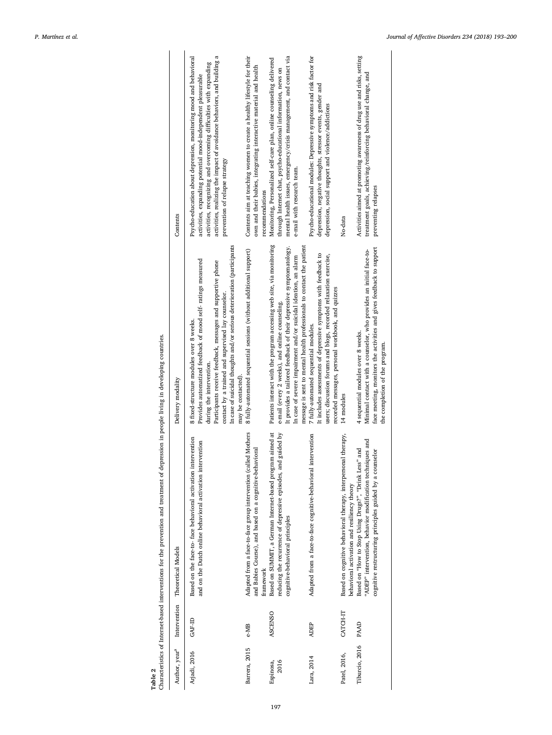<span id="page-4-0"></span>

| Table 2                   |                | Characteristics of Internet-based interventions for the prevention and treatment of depression in people living in developing countries.                                       |                                                                                                                                                                                                                                                                                                                                                           |                                                                                                                                                                                                                                                                                                                      |
|---------------------------|----------------|--------------------------------------------------------------------------------------------------------------------------------------------------------------------------------|-----------------------------------------------------------------------------------------------------------------------------------------------------------------------------------------------------------------------------------------------------------------------------------------------------------------------------------------------------------|----------------------------------------------------------------------------------------------------------------------------------------------------------------------------------------------------------------------------------------------------------------------------------------------------------------------|
| Author, year <sup>a</sup> |                | Intervention Theoretical Models                                                                                                                                                | Delivery modality                                                                                                                                                                                                                                                                                                                                         | Contents                                                                                                                                                                                                                                                                                                             |
| Arjadi, 2016              | GAF-ID         | Based on the face-to- face behavioral activation intervention<br>and on the Dutch online behavioral activation intervention                                                    | In case of suicidal thoughts and/or serious deterioration (participants<br>Provides automatized feedback of mood self- ratings measured<br>Participants receive feedback, messages and supportive phone<br>contact by a trained and supervised lay counselor.<br>8 fixed-structure modules over 8 weeks.<br>during the intervention.<br>may be contacted) | activities, realizing the impact of avoidance behaviors, and building a<br>Psycho-education about depression, monitoring mood and behavioral<br>activities, recognizing and overcoming difficulties with expanding<br>activities, expanding potential mood-independent pleasurable<br>prevention of relapse strategy |
| Barrera, 2015             | e-MB           | Adapted from a face-to-face group intervention (called Mothers<br>and Babies Course), and based on a cognitive-behavioral<br>framework                                         | 8 fully-automated sequential sessions (without additional support)                                                                                                                                                                                                                                                                                        | Contents aim at teaching women to create a healthy lifestyle for their<br>own and their babies, integrating interactive material and health<br>recommendations                                                                                                                                                       |
| 2016<br>Espinosa,         | <b>ASCENSO</b> | Based on SUMMIT, a German Internet-based program aimed at<br>d guided by<br>reducing the recurrence of depressive episodes, an-<br>cognitive-behavioral principles             | Patients interact with the program accessing web site, via monitoring<br>message is sent to mental health professionals to contact the patient<br>It provides a tailored feedback of their depressive symptomatology.<br>In case of severe impairment and/or suicidal ideation, an alarm<br>e-mail (every 2 weeks), and online counseling.                | mental health issues, emergency/crisis management, and contact via<br>Monitoring, Personalized self-care plan, online counseling delivered<br>through Internet chat, psycho-educational information, news on<br>e-mail with research team.                                                                           |
| Lara, 2014                | <b>ADEP</b>    | Adapted from a face-to-face cognitive-behavioral intervention                                                                                                                  | It includes assessments of depressive symptoms with feedback to<br>users; discussion forums and blogs, recorded relaxation exercise,<br>recorded messages, personal workbook, and quizzes<br>7 fully-automated sequential modules.                                                                                                                        | Psycho-educational modules: Depressive symptoms and risk factor for<br>depression, negative thoughts, stressor events, gender and<br>depression, social support and violence/addictions                                                                                                                              |
| Patel, 2016,              | CATCH-IT       | Based on cognitive behavioral therapy, interpersonal therapy,<br>behavioral activation and resiliency theory                                                                   | 14 modules                                                                                                                                                                                                                                                                                                                                                | No-data                                                                                                                                                                                                                                                                                                              |
| Tiburcio, 2016            | PAAD           | "ADEP" intervention, behavior modification techniques and<br>Based on "How to Stop Using Drugs?", "Drink Less" and<br>cognitive restructuring principles guided by a counselor | face meeting, monitors the activities and gives feedback to support<br>Minimal contact with a counselor, who provides an initial face-to-<br>4 sequential modules over 8 weeks.<br>the completion of the program.                                                                                                                                         | Activities aimed at promoting awareness of drug use and risks, setting<br>treatment goals, achieving/reinforcing behavioral change, and<br>preventing relapses                                                                                                                                                       |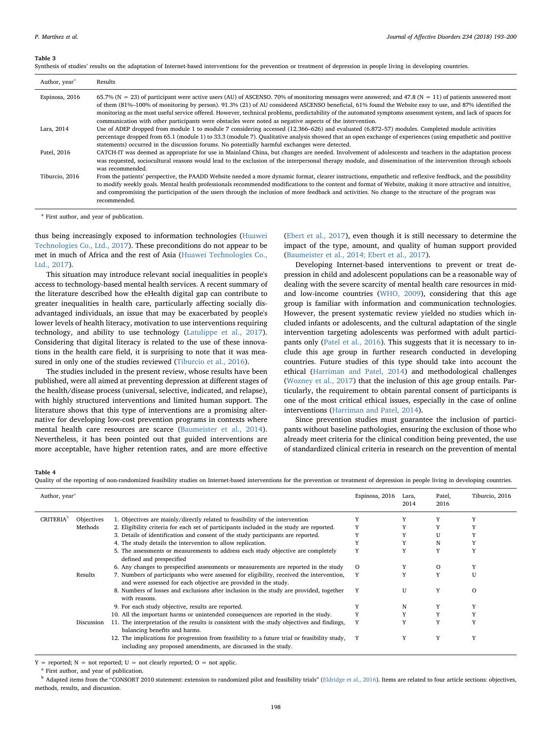#### <span id="page-5-0"></span>Table 3

|  | Synthesis of studies' results on the adaptation of Internet-based interventions for the prevention or treatment of depression in people living in developing countries. |  |  |
|--|-------------------------------------------------------------------------------------------------------------------------------------------------------------------------|--|--|
|  |                                                                                                                                                                         |  |  |

| Author, year <sup>a</sup> | Results                                                                                                                                                                                                                                                                                                                                                                                                                                                                                                                                                                                       |
|---------------------------|-----------------------------------------------------------------------------------------------------------------------------------------------------------------------------------------------------------------------------------------------------------------------------------------------------------------------------------------------------------------------------------------------------------------------------------------------------------------------------------------------------------------------------------------------------------------------------------------------|
| Espinosa, 2016            | 65.7% (N = 23) of participant were active users (AU) of ASCENSO. 70% of monitoring messages were answered; and 47.8 (N = 11) of patients answered most<br>of them (81%-100% of monitoring by person). 91.3% (21) of AU considered ASCENSO beneficial, 61% found the Website easy to use, and 87% identified the<br>monitoring as the most useful service offered. However, technical problems, predictability of the automated symptoms assessment system, and lack of spaces for<br>communication with other participants were obstacles were noted as negative aspects of the intervention. |
| Lara, 2014                | Use of ADEP dropped from module 1 to module 7 considering accessed (12.366–626) and evaluated (6.872–57) modules. Completed module activities<br>percentage dropped from 65.1 (module 1) to 33.3 (module 7). Qualitative analysis showed that an open exchange of experiences (using empathetic and positive<br>statements) occurred in the discussion forums. No potentially harmful exchanges were detected.                                                                                                                                                                                |
| Patel, 2016               | CATCH-IT was deemed as appropriate for use in Mainland China, but changes are needed. Involvement of adolescents and teachers in the adaptation process<br>was requested, sociocultural reasons would lead to the exclusion of the interpersonal therapy module, and dissemination of the intervention through schools<br>was recommended.                                                                                                                                                                                                                                                    |
| Tiburcio, 2016            | From the patients' perspective, the PAADD Website needed a more dynamic format, clearer instructions, empathetic and reflexive feedback, and the possibility<br>to modify weekly goals. Mental health professionals recommended modifications to the content and format of Website, making it more attractive and intuitive,<br>and compromising the participation of the users through the inclusion of more feedback and activities. No change to the structure of the program was<br>recommended.                                                                                          |

<span id="page-5-2"></span><sup>a</sup> First author, and year of publication.

thus being increasingly exposed to information technologies ([Huawei](#page-7-19) [Technologies Co., Ltd., 2017\)](#page-7-19). These preconditions do not appear to be met in much of Africa and the rest of Asia ([Huawei Technologies Co.,](#page-7-19) [Ltd., 2017](#page-7-19)).

This situation may introduce relevant social inequalities in people's access to technology-based mental health services. A recent summary of the literature described how the eHealth digital gap can contribute to greater inequalities in health care, particularly affecting socially disadvantaged individuals, an issue that may be exacerbated by people's lower levels of health literacy, motivation to use interventions requiring technology, and ability to use technology ([Latulippe et al., 2017](#page-7-8)). Considering that digital literacy is related to the use of these innovations in the health care field, it is surprising to note that it was measured in only one of the studies reviewed ([Tiburcio et al., 2016](#page-7-17)).

The studies included in the present review, whose results have been published, were all aimed at preventing depression at different stages of the health/disease process (universal, selective, indicated, and relapse), with highly structured interventions and limited human support. The literature shows that this type of interventions are a promising alternative for developing low-cost prevention programs in contexts where mental health care resources are scarce ([Baumeister et al., 2014](#page-6-10)). Nevertheless, it has been pointed out that guided interventions are more acceptable, have higher retention rates, and are more effective

([Ebert et al., 2017\)](#page-6-11), even though it is still necessary to determine the impact of the type, amount, and quality of human support provided ([Baumeister et al., 2014; Ebert et al., 2017\)](#page-6-10).

Developing Internet-based interventions to prevent or treat depression in child and adolescent populations can be a reasonable way of dealing with the severe scarcity of mental health care resources in midand low-income countries [\(WHO, 2009](#page-7-20)), considering that this age group is familiar with information and communication technologies. However, the present systematic review yielded no studies which included infants or adolescents, and the cultural adaptation of the single intervention targeting adolescents was performed with adult partici-pants only ([Patel et al., 2016](#page-7-16)). This suggests that it is necessary to include this age group in further research conducted in developing countries. Future studies of this type should take into account the ethical ([Harriman and Patel, 2014\)](#page-7-21) and methodological challenges ([Wozney et al., 2017](#page-7-22)) that the inclusion of this age group entails. Particularly, the requirement to obtain parental consent of participants is one of the most critical ethical issues, especially in the case of online interventions ([Harriman and Patel, 2014\)](#page-7-21).

Since prevention studies must guarantee the inclusion of participants without baseline pathologies, ensuring the exclusion of those who already meet criteria for the clinical condition being prevented, the use of standardized clinical criteria in research on the prevention of mental

#### <span id="page-5-1"></span>Table 4

Quality of the reporting of non-randomized feasibility studies on Internet-based interventions for the prevention or treatment of depression in people living in developing countries.

| Author, year <sup>a</sup>    |            |                                                                                                                                                                 | Espinosa, 2016 | Lara,<br>2014 | Patel,<br>2016 | Tiburcio, 2016 |
|------------------------------|------------|-----------------------------------------------------------------------------------------------------------------------------------------------------------------|----------------|---------------|----------------|----------------|
| <b>CRITERIA</b> <sup>D</sup> | Objectives | 1. Objectives are mainly/directly related to feasibility of the intervention                                                                                    |                |               |                |                |
|                              | Methods    | 2. Eligibility criteria for each set of participants included in the study are reported.                                                                        | Y              |               |                |                |
|                              |            | 3. Details of identification and consent of the study participants are reported.                                                                                |                |               |                |                |
|                              |            | 4. The study details the intervention to allow replication.                                                                                                     |                |               | N              |                |
|                              |            | 5. The assessments or measurements to address each study objective are completely<br>defined and prespecified                                                   | Y              | Y             | Y              | Y              |
|                              |            | 6. Any changes to prespecified assessments or measurements are reported in the study                                                                            | $\Omega$       |               | $\circ$        |                |
|                              | Results    | 7. Numbers of participants who were assessed for eligibility, received the intervention,<br>and were assessed for each objective are provided in the study.     | Y              |               | Y              | H              |
|                              |            | 8. Numbers of losses and exclusions after inclusion in the study are provided, together<br>with reasons.                                                        | Y              | U             | Y              | $\Omega$       |
|                              |            | 9. For each study objective, results are reported.                                                                                                              |                | N             |                |                |
|                              |            | 10. All the important harms or unintended consequences are reported in the study.                                                                               | Y              |               |                |                |
|                              | Discussion | 11. The interpretation of the results is consistent with the study objectives and findings,<br>balancing benefits and harms.                                    | Y              |               | v              |                |
|                              |            | 12. The implications for progression from feasibility to a future trial or feasibility study,<br>including any proposed amendments, are discussed in the study. | Y              | Y             | Y              | γ              |

 $Y =$  reported;  $N =$  not reported;  $U =$  not clearly reported;  $O =$  not applic.

<span id="page-5-3"></span>First author, and year of publication.

<span id="page-5-4"></span>**b** Adapted items from the "CONSORT 2010 statement: extension to randomized pilot and feasibility trials" ([Eldridge et al., 2016](#page-6-6)). Items are related to four article sections: objectives, methods, results, and discussion.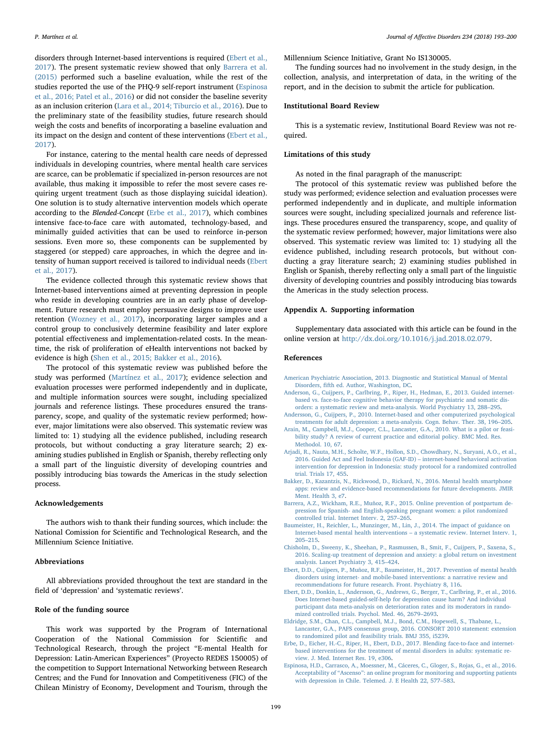disorders through Internet-based interventions is required ([Ebert et al.,](#page-6-11) [2017\)](#page-6-11). The present systematic review showed that only [Barrera et al.](#page-6-8) [\(2015\)](#page-6-8) performed such a baseline evaluation, while the rest of the studies reported the use of the PHQ-9 self-report instrument ([Espinosa](#page-6-9) [et al., 2016; Patel et al., 2016](#page-6-9)) or did not consider the baseline severity as an inclusion criterion [\(Lara et al., 2014; Tiburcio et al., 2016\)](#page-7-15). Due to the preliminary state of the feasibility studies, future research should weigh the costs and benefits of incorporating a baseline evaluation and its impact on the design and content of these interventions [\(Ebert et al.,](#page-6-11) [2017\)](#page-6-11).

For instance, catering to the mental health care needs of depressed individuals in developing countries, where mental health care services are scarce, can be problematic if specialized in-person resources are not available, thus making it impossible to refer the most severe cases requiring urgent treatment (such as those displaying suicidal ideation). One solution is to study alternative intervention models which operate according to the Blended-Concept [\(Erbe et al., 2017](#page-6-12)), which combines intensive face-to-face care with automated, technology-based, and minimally guided activities that can be used to reinforce in-person sessions. Even more so, these components can be supplemented by staggered (or stepped) care approaches, in which the degree and intensity of human support received is tailored to individual needs ([Ebert](#page-6-11) [et al., 2017](#page-6-11)).

The evidence collected through this systematic review shows that Internet-based interventions aimed at preventing depression in people who reside in developing countries are in an early phase of development. Future research must employ persuasive designs to improve user retention [\(Wozney et al., 2017](#page-7-22)), incorporating larger samples and a control group to conclusively determine feasibility and later explore potential effectiveness and implementation-related costs. In the meantime, the risk of proliferation of eHealth interventions not backed by evidence is high [\(Shen et al., 2015; Bakker et al., 2016](#page-7-23)).

The protocol of this systematic review was published before the study was performed [\(Martínez et al., 2017\)](#page-7-24); evidence selection and evaluation processes were performed independently and in duplicate, and multiple information sources were sought, including specialized journals and reference listings. These procedures ensured the transparency, scope, and quality of the systematic review performed; however, major limitations were also observed. This systematic review was limited to: 1) studying all the evidence published, including research protocols, but without conducting a gray literature search; 2) examining studies published in English or Spanish, thereby reflecting only a small part of the linguistic diversity of developing countries and possibly introducing bias towards the Americas in the study selection process.

#### Acknowledgements

The authors wish to thank their funding sources, which include: the National Comission for Scientific and Technological Research, and the Millennium Science Initiative.

#### Abbreviations

All abbreviations provided throughout the text are standard in the field of 'depression' and 'systematic reviews'.

#### Role of the funding source

This work was supported by the Program of International Cooperation of the National Commission for Scientific and Technological Research, through the project "E-mental Health for Depression: Latin-American Experiences" (Proyecto REDES 150005) of the competition to Support International Networking between Research Centres; and the Fund for Innovation and Competitiveness (FIC) of the Chilean Ministry of Economy, Development and Tourism, through the

Millennium Science Initiative, Grant No IS130005.

The funding sources had no involvement in the study design, in the collection, analysis, and interpretation of data, in the writing of the report, and in the decision to submit the article for publication.

## Institutional Board Review

This is a systematic review, Institutional Board Review was not required.

#### Limitations of this study

As noted in the final paragraph of the manuscript:

The protocol of this systematic review was published before the study was performed; evidence selection and evaluation processes were performed independently and in duplicate, and multiple information sources were sought, including specialized journals and reference listings. These procedures ensured the transparency, scope, and quality of the systematic review performed; however, major limitations were also observed. This systematic review was limited to: 1) studying all the evidence published, including research protocols, but without conducting a gray literature search; 2) examining studies published in English or Spanish, thereby reflecting only a small part of the linguistic diversity of developing countries and possibly introducing bias towards the Americas in the study selection process.

#### Appendix A. Supporting information

Supplementary data associated with this article can be found in the online version at [http://dx.doi.org/10.1016/j.jad.2018.02.079.](http://dx.doi.org//10.1016/j.jad.2018.02.079)

#### References

- <span id="page-6-0"></span>[American Psychiatric Association, 2013. Diagnostic and Statistical Manual of Mental](http://refhub.elsevier.com/S0165-0327(17)32567-3/sbref1) Disorders, fi[fth ed. Author, Washington, DC](http://refhub.elsevier.com/S0165-0327(17)32567-3/sbref1).
- <span id="page-6-3"></span>[Anderson, G., Cuijpers, P., Carlbring, P., Riper, H., Hedman, E., 2013. Guided internet](http://refhub.elsevier.com/S0165-0327(17)32567-3/sbref2)[based vs. face-to-face cognitive behavior therapy for psychiatric and somatic dis](http://refhub.elsevier.com/S0165-0327(17)32567-3/sbref2)[orders: a systematic review and meta-analysis. World Psychiatry 13, 288](http://refhub.elsevier.com/S0165-0327(17)32567-3/sbref2)–295.
- <span id="page-6-2"></span>[Andersson, G., Cuijpers, P., 2010. Internet-based and other computerized psychological](http://refhub.elsevier.com/S0165-0327(17)32567-3/sbref3) [treatments for adult depression: a meta-analysis. Cogn. Behav. Ther. 38, 196](http://refhub.elsevier.com/S0165-0327(17)32567-3/sbref3)–205.
- <span id="page-6-5"></span>[Arain, M., Campbell, M.J., Cooper, C.L., Lancaster, G.A., 2010. What is a pilot or feasi](http://refhub.elsevier.com/S0165-0327(17)32567-3/sbref4)[bility study? A review of current practice and editorial policy. BMC Med. Res.](http://refhub.elsevier.com/S0165-0327(17)32567-3/sbref4) [Methodol. 10, 67.](http://refhub.elsevier.com/S0165-0327(17)32567-3/sbref4)
- <span id="page-6-7"></span>[Arjadi, R., Nauta, M.H., Scholte, W.F., Hollon, S.D., Chowdhary, N., Suryani, A.O., et al.,](http://refhub.elsevier.com/S0165-0327(17)32567-3/sbref5) [2016. Guided Act and Feel Indonesia \(GAF-ID\)](http://refhub.elsevier.com/S0165-0327(17)32567-3/sbref5) – internet-based behavioral activation [intervention for depression in Indonesia: study protocol for a randomized controlled](http://refhub.elsevier.com/S0165-0327(17)32567-3/sbref5) [trial. Trials 17, 455](http://refhub.elsevier.com/S0165-0327(17)32567-3/sbref5).
- [Bakker, D., Kazantzis, N., Rickwood, D., Rickard, N., 2016. Mental health smartphone](http://refhub.elsevier.com/S0165-0327(17)32567-3/sbref6) [apps: review and evidence-based recommendations for future developments. JMIR](http://refhub.elsevier.com/S0165-0327(17)32567-3/sbref6) [Ment. Health 3, e7](http://refhub.elsevier.com/S0165-0327(17)32567-3/sbref6).
- <span id="page-6-8"></span>[Barrera, A.Z., Wickham, R.E., Muñoz, R.F., 2015. Online prevention of postpartum de](http://refhub.elsevier.com/S0165-0327(17)32567-3/sbref7)[pression for Spanish- and English-speaking pregnant women: a pilot randomized](http://refhub.elsevier.com/S0165-0327(17)32567-3/sbref7) [controlled trial. Internet Interv. 2, 257](http://refhub.elsevier.com/S0165-0327(17)32567-3/sbref7)–265.
- <span id="page-6-10"></span>[Baumeister, H., Reichler, L., Munzinger, M., Lin, J., 2014. The impact of guidance on](http://refhub.elsevier.com/S0165-0327(17)32567-3/sbref8) [Internet-based mental health interventions](http://refhub.elsevier.com/S0165-0327(17)32567-3/sbref8) – a systematic review. Internet Interv. 1, 205–[215](http://refhub.elsevier.com/S0165-0327(17)32567-3/sbref8).
- <span id="page-6-1"></span>[Chisholm, D., Sweeny, K., Sheehan, P., Rasmussen, B., Smit, F., Cuijpers, P., Saxena, S.,](http://refhub.elsevier.com/S0165-0327(17)32567-3/sbref9) [2016. Scaling-up treatment of depression and anxiety: a global return on investment](http://refhub.elsevier.com/S0165-0327(17)32567-3/sbref9) [analysis. Lancet Psychiatry 3, 415](http://refhub.elsevier.com/S0165-0327(17)32567-3/sbref9)–424.
- <span id="page-6-11"></span>[Ebert, D.D., Cuijpers, P., Muñoz, R.F., Baumeister, H., 2017. Prevention of mental health](http://refhub.elsevier.com/S0165-0327(17)32567-3/sbref10) [disorders using internet- and mobile-based interventions: a narrative review and](http://refhub.elsevier.com/S0165-0327(17)32567-3/sbref10) [recommendations for future research. Front. Psychiatry 8, 116.](http://refhub.elsevier.com/S0165-0327(17)32567-3/sbref10)
- <span id="page-6-4"></span>[Ebert, D.D., Donkin, L., Andersson, G., Andrews, G., Berger, T., Carlbring, P., et al., 2016.](http://refhub.elsevier.com/S0165-0327(17)32567-3/sbref11) [Does Internet-based guided-self-help for depression cause harm? And individual](http://refhub.elsevier.com/S0165-0327(17)32567-3/sbref11) [participant data meta-analysis on deterioration rates and its moderators in rando](http://refhub.elsevier.com/S0165-0327(17)32567-3/sbref11)[mized controlled trials. Psychol. Med. 46, 2679](http://refhub.elsevier.com/S0165-0327(17)32567-3/sbref11)–2693.
- <span id="page-6-6"></span>[Eldridge, S.M., Chan, C.L., Campbell, M.J., Bond, C.M., Hopewell, S., Thabane, L.,](http://refhub.elsevier.com/S0165-0327(17)32567-3/sbref12) [Lancaster, G.A., PAFS consensus group, 2016. CONSORT 2010 statement: extension](http://refhub.elsevier.com/S0165-0327(17)32567-3/sbref12) [to randomized pilot and feasibility trials. BMJ 355, i5239](http://refhub.elsevier.com/S0165-0327(17)32567-3/sbref12).
- <span id="page-6-12"></span>[Erbe, D., Eicher, H.-C., Riper, H., Ebert, D.D., 2017. Blending face-to-face and internet](http://refhub.elsevier.com/S0165-0327(17)32567-3/sbref13)[based interventions for the treatment of mental disorders in adults: systematic re](http://refhub.elsevier.com/S0165-0327(17)32567-3/sbref13)[view. J. Med. Internet Res. 19, e306](http://refhub.elsevier.com/S0165-0327(17)32567-3/sbref13).
- <span id="page-6-9"></span>[Espinosa, H.D., Carrasco, A., Moessner, M., Cáceres, C., Gloger, S., Rojas, G., et al., 2016.](http://refhub.elsevier.com/S0165-0327(17)32567-3/sbref14) Acceptability of "Ascenso"[: an online program for monitoring and supporting patients](http://refhub.elsevier.com/S0165-0327(17)32567-3/sbref14) [with depression in Chile. Telemed. J. E Health 22, 577](http://refhub.elsevier.com/S0165-0327(17)32567-3/sbref14)–583.